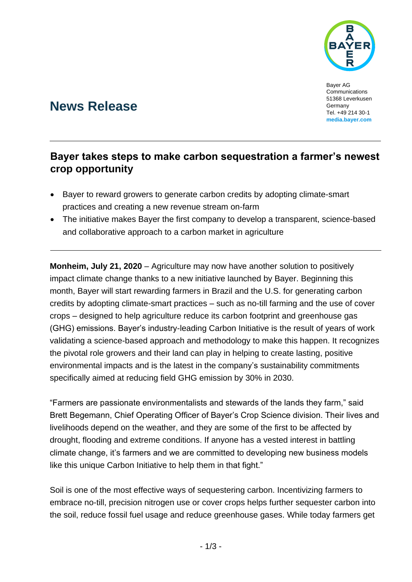

Bayer AG Communications 51368 Leverkusen Germany Tel. +49 214 30-1 **[media.bayer.com](http://media.bayer.de/)**

# **News Release**

## **Bayer takes steps to make carbon sequestration a farmer's newest crop opportunity**

- Bayer to reward growers to generate carbon credits by adopting climate-smart practices and creating a new revenue stream on-farm
- The initiative makes Bayer the first company to develop a transparent, science-based and collaborative approach to a carbon market in agriculture

**Monheim, July 21, 2020** – Agriculture may now have another solution to positively impact climate change thanks to a new initiative launched by Bayer. Beginning this month, Bayer will start rewarding farmers in Brazil and the U.S. for generating carbon credits by adopting climate-smart practices – such as no-till farming and the use of cover crops – designed to help agriculture reduce its carbon footprint and greenhouse gas (GHG) emissions. Bayer's industry-leading Carbon Initiative is the result of years of work validating a science-based approach and methodology to make this happen. It recognizes the pivotal role growers and their land can play in helping to create lasting, positive environmental impacts and is the latest in the company's [sustainability commitments](https://www.cropscience.bayer.com/who-we-are/a/agricultures-carbon-zero-future) specifically aimed at reducing field GHG emission by 30% in 2030.

"Farmers are passionate environmentalists and stewards of the lands they farm," said Brett Begemann, Chief Operating Officer of Bayer's Crop Science division. Their lives and livelihoods depend on the weather, and they are some of the first to be affected by drought, flooding and extreme conditions. If anyone has a vested interest in battling climate change, it's farmers and we are committed to developing new business models like this unique Carbon Initiative to help them in that fight."

Soil is one of the most effective ways of sequestering carbon. Incentivizing farmers to embrace no-till, precision nitrogen use or cover crops helps further sequester carbon into the soil, reduce fossil fuel usage and reduce greenhouse gases. While today farmers get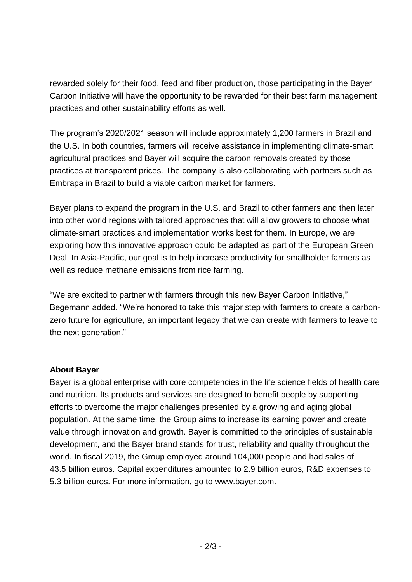rewarded solely for their food, feed and fiber production, those participating in the Bayer Carbon Initiative will have the opportunity to be rewarded for their best farm management practices and other sustainability efforts as well.

The program's 2020/2021 season will include approximately 1,200 farmers in Brazil and the U.S. In both countries, farmers will receive assistance in implementing climate-smart agricultural practices and Bayer will acquire the carbon removals created by those practices at transparent prices. The company is also collaborating with partners such as Embrapa in Brazil to build a viable carbon market for farmers.

Bayer plans to expand the program in the U.S. and Brazil to other farmers and then later into other world regions with tailored approaches that will allow growers to choose what climate-smart practices and implementation works best for them. In Europe, we are exploring how this innovative approach could be adapted as part of the European Green Deal. In Asia-Pacific, our goal is to help increase productivity for smallholder farmers as well as reduce methane emissions from rice farming.

"We are excited to partner with farmers through this new Bayer Carbon Initiative," Begemann added. "We're honored to take this major step with farmers to create a carbonzero future for agriculture, an important legacy that we can create with farmers to leave to the next generation."

#### **About Bayer**

Bayer is a global enterprise with core competencies in the life science fields of health care and nutrition. Its products and services are designed to benefit people by supporting efforts to overcome the major challenges presented by a growing and aging global population. At the same time, the Group aims to increase its earning power and create value through innovation and growth. Bayer is committed to the principles of sustainable development, and the Bayer brand stands for trust, reliability and quality throughout the world. In fiscal 2019, the Group employed around 104,000 people and had sales of 43.5 billion euros. Capital expenditures amounted to 2.9 billion euros, R&D expenses to 5.3 billion euros. For more information, go to [www.bayer.com.](http://www.bayer.com/)